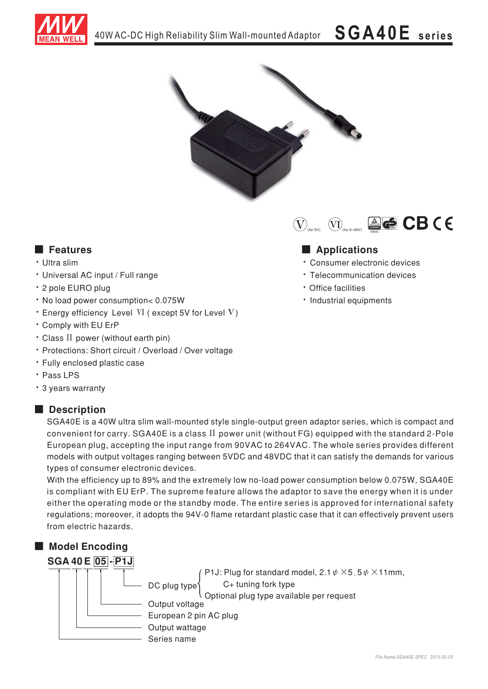



### ■ Features ■ Ap

- · Ultra slim
- Universal AC input / Full range
- · 2 pole EURO plug
- . No load power consumption< 0.075W
- Energy efficiency Level VI (except 5V for Level V)
- . Comply with EU ErP
- Class II power (without earth pin)
- Protections: Short circuit / Overload / Over voltage
- · Fully enclosed plastic case
- $\cdot$  Pass LPS
- \* 3 years warranty

### ■ **Description**

SGA40E is a 40W ultra slim wall-mounted style single-output green adaptor series, which is compact and convenient for carry. SGA40E is a class  $II$  power unit (without FG) equipped with the standard 2-Pole European plug, accepting the input range from 90VAC to 264VAC. The whole series provides different models with output voltages ranging between 5VDC and 48VDC that it can satisfy the demands for various types of consumer electronic devices.

With the efficiency up to 89% and the extremely low no-load power consumption below 0.075W, SGA40E is compliant with EU ErP. The supreme feature allows the adaptor to save the energy when it is under either the operating mode or the standby mode. The entire series is approved for international safety regulations; moreover, it adopts the 94V-0 flame retardant plastic case that it can effectively prevent users from electric hazards.

## ■ Model Encoding



Series name Output wattage European 2 pin AC plug Output voltage DC plug type C+ tuning fork type P1J: Plug for standard model, 2.1  $\psi \times$ 5.5 $\psi \times$ 11mm, Optional plug type available per request

# $\bigcircled{V_{\text{max}}}$   $\bigcircled{V_{\text{max}}}$  and  $\bigcircled{E}$  CB (E)

### 

- · Consumer electronic devices
- · Telecommunication devices
- Office facilities
- Industrial equipments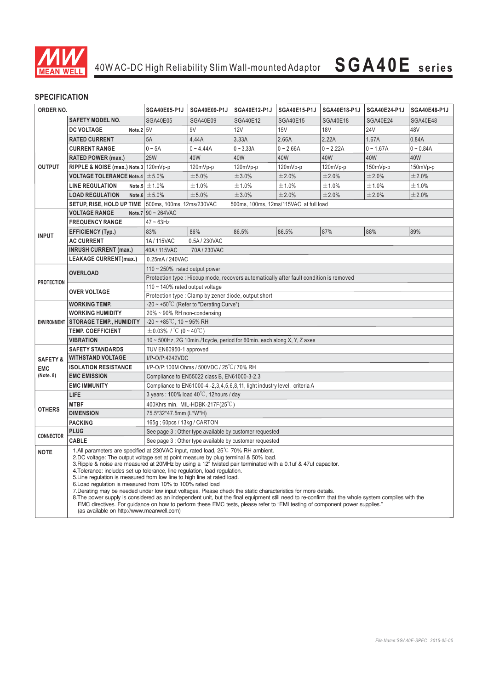

### **SPECIFICATION**

| ORDER NO.                                |                                                                                                                                                                                                                                                                                                                                                                                                                                                                                                                                                                                                                                                                                                                                                                                                                                                                                                                                                                                | SGA40E05-P1J                                                                                                        | SGA40E09-P1J    | SGA40E12-P1J                           | <b>SGA40E15-P1J</b> | SGA40E18-P1J | <b>SGA40E24-P1J</b> | <b>SGA40E48-P1J</b> |
|------------------------------------------|--------------------------------------------------------------------------------------------------------------------------------------------------------------------------------------------------------------------------------------------------------------------------------------------------------------------------------------------------------------------------------------------------------------------------------------------------------------------------------------------------------------------------------------------------------------------------------------------------------------------------------------------------------------------------------------------------------------------------------------------------------------------------------------------------------------------------------------------------------------------------------------------------------------------------------------------------------------------------------|---------------------------------------------------------------------------------------------------------------------|-----------------|----------------------------------------|---------------------|--------------|---------------------|---------------------|
| <b>OUTPUT</b>                            | <b>SAFETY MODEL NO.</b>                                                                                                                                                                                                                                                                                                                                                                                                                                                                                                                                                                                                                                                                                                                                                                                                                                                                                                                                                        | <b>SGA40E05</b>                                                                                                     | <b>SGA40E09</b> | SGA40E12                               | <b>SGA40E15</b>     | SGA40E18     | <b>SGA40E24</b>     | <b>SGA40E48</b>     |
|                                          | <b>DC VOLTAGE</b><br>Note. $2 5V$                                                                                                                                                                                                                                                                                                                                                                                                                                                                                                                                                                                                                                                                                                                                                                                                                                                                                                                                              |                                                                                                                     | 9V              | 12V                                    | 15V                 | <b>18V</b>   | <b>24V</b>          | 48V                 |
|                                          | <b>RATED CURRENT</b>                                                                                                                                                                                                                                                                                                                                                                                                                                                                                                                                                                                                                                                                                                                                                                                                                                                                                                                                                           | 5A                                                                                                                  | 4.44A           | 3.33A                                  | 2.66A               | 2.22A        | 1.67A               | 0.84A               |
|                                          | <b>CURRENT RANGE</b>                                                                                                                                                                                                                                                                                                                                                                                                                                                                                                                                                                                                                                                                                                                                                                                                                                                                                                                                                           | $0 - 5A$                                                                                                            | $0 - 4.44A$     | $0 - 3.33A$                            | $0 - 2.66A$         | $0 - 2.22A$  | $0 - 1.67A$         | $0 - 0.84A$         |
|                                          | <b>RATED POWER (max.)</b>                                                                                                                                                                                                                                                                                                                                                                                                                                                                                                                                                                                                                                                                                                                                                                                                                                                                                                                                                      | <b>25W</b>                                                                                                          | 40W             | 40W                                    | 40W                 | 40W          | 40W                 | 40W                 |
|                                          | RIPPLE & NOISE (max.) Note.3 120mVp-p                                                                                                                                                                                                                                                                                                                                                                                                                                                                                                                                                                                                                                                                                                                                                                                                                                                                                                                                          |                                                                                                                     | 120mVp-p        | 120mVp-p                               | 120mVp-p            | 120mVp-p     | 150mVp-p            | 150mVp-p            |
|                                          | VOLTAGE TOLERANCE Note.4 $\pm$ 5.0%                                                                                                                                                                                                                                                                                                                                                                                                                                                                                                                                                                                                                                                                                                                                                                                                                                                                                                                                            |                                                                                                                     | ±5.0%           | ±3.0%                                  | ±2.0%               | ±2.0%        | ±2.0%               | ±2.0%               |
|                                          | <b>LINE REGULATION</b>                                                                                                                                                                                                                                                                                                                                                                                                                                                                                                                                                                                                                                                                                                                                                                                                                                                                                                                                                         | Note.5 $\pm$ 1.0%                                                                                                   | ±1.0%           | ±1.0%                                  | ±1.0%               | ±1.0%        | ±1.0%               | ±1.0%               |
|                                          | <b>LOAD REGULATION</b>                                                                                                                                                                                                                                                                                                                                                                                                                                                                                                                                                                                                                                                                                                                                                                                                                                                                                                                                                         | Note.6 $\pm$ 5.0%                                                                                                   | ±5.0%           | ±3.0%                                  | ±2.0%               | ±2.0%        | ±2.0%               | ±2.0%               |
|                                          | <b>SETUP, RISE, HOLD UP TIME</b>   500ms, 100ms, 12ms/230VAC                                                                                                                                                                                                                                                                                                                                                                                                                                                                                                                                                                                                                                                                                                                                                                                                                                                                                                                   |                                                                                                                     |                 | 500ms, 100ms, 12ms/115VAC at full load |                     |              |                     |                     |
|                                          | <b>VOLTAGE RANGE</b>                                                                                                                                                                                                                                                                                                                                                                                                                                                                                                                                                                                                                                                                                                                                                                                                                                                                                                                                                           | Note.7 $90 \sim 264$ VAC                                                                                            |                 |                                        |                     |              |                     |                     |
| <b>INPUT</b>                             | <b>FREQUENCY RANGE</b>                                                                                                                                                                                                                                                                                                                                                                                                                                                                                                                                                                                                                                                                                                                                                                                                                                                                                                                                                         | $47 \sim 63$ Hz                                                                                                     |                 |                                        |                     |              |                     |                     |
|                                          | <b>EFFICIENCY (Typ.)</b>                                                                                                                                                                                                                                                                                                                                                                                                                                                                                                                                                                                                                                                                                                                                                                                                                                                                                                                                                       | 83%                                                                                                                 | 86%             | 86.5%                                  | 86.5%               | 87%          | 88%                 | 89%                 |
|                                          | <b>AC CURRENT</b>                                                                                                                                                                                                                                                                                                                                                                                                                                                                                                                                                                                                                                                                                                                                                                                                                                                                                                                                                              | 1A/115VAC<br>0.5A/230VAC                                                                                            |                 |                                        |                     |              |                     |                     |
|                                          | <b>INRUSH CURRENT (max.)</b>                                                                                                                                                                                                                                                                                                                                                                                                                                                                                                                                                                                                                                                                                                                                                                                                                                                                                                                                                   | 40A/115VAC<br>70A/230VAC                                                                                            |                 |                                        |                     |              |                     |                     |
|                                          | <b>LEAKAGE CURRENT(max.)</b>                                                                                                                                                                                                                                                                                                                                                                                                                                                                                                                                                                                                                                                                                                                                                                                                                                                                                                                                                   | 0.25mA / 240VAC                                                                                                     |                 |                                        |                     |              |                     |                     |
| <b>PROTECTION</b>                        | <b>OVERLOAD</b>                                                                                                                                                                                                                                                                                                                                                                                                                                                                                                                                                                                                                                                                                                                                                                                                                                                                                                                                                                | $110 \sim 250\%$ rated output power                                                                                 |                 |                                        |                     |              |                     |                     |
|                                          |                                                                                                                                                                                                                                                                                                                                                                                                                                                                                                                                                                                                                                                                                                                                                                                                                                                                                                                                                                                | Protection type : Hiccup mode, recovers automatically after fault condition is removed                              |                 |                                        |                     |              |                     |                     |
|                                          | <b>OVER VOLTAGE</b>                                                                                                                                                                                                                                                                                                                                                                                                                                                                                                                                                                                                                                                                                                                                                                                                                                                                                                                                                            | 110 ~ 140% rated output voltage                                                                                     |                 |                                        |                     |              |                     |                     |
|                                          |                                                                                                                                                                                                                                                                                                                                                                                                                                                                                                                                                                                                                                                                                                                                                                                                                                                                                                                                                                                | Protection type: Clamp by zener diode, output short                                                                 |                 |                                        |                     |              |                     |                     |
| <b>ENVIRONMENT</b>                       | <b>WORKING TEMP.</b>                                                                                                                                                                                                                                                                                                                                                                                                                                                                                                                                                                                                                                                                                                                                                                                                                                                                                                                                                           | $-20 \sim +50^{\circ}$ C (Refer to "Derating Curve")                                                                |                 |                                        |                     |              |                     |                     |
|                                          | <b>WORKING HUMIDITY</b>                                                                                                                                                                                                                                                                                                                                                                                                                                                                                                                                                                                                                                                                                                                                                                                                                                                                                                                                                        | 20% ~ 90% RH non-condensing                                                                                         |                 |                                        |                     |              |                     |                     |
|                                          | <b>STORAGE TEMP., HUMIDITY</b>                                                                                                                                                                                                                                                                                                                                                                                                                                                                                                                                                                                                                                                                                                                                                                                                                                                                                                                                                 | $-20 \sim +85^{\circ}$ C, 10 ~ 95% RH                                                                               |                 |                                        |                     |              |                     |                     |
|                                          | <b>TEMP. COEFFICIENT</b>                                                                                                                                                                                                                                                                                                                                                                                                                                                                                                                                                                                                                                                                                                                                                                                                                                                                                                                                                       | $\pm$ 0.03% / °C (0 ~ 40°C)                                                                                         |                 |                                        |                     |              |                     |                     |
|                                          | <b>VIBRATION</b>                                                                                                                                                                                                                                                                                                                                                                                                                                                                                                                                                                                                                                                                                                                                                                                                                                                                                                                                                               | 10 ~ 500Hz, 2G 10min./1cycle, period for 60min. each along X, Y, Z axes                                             |                 |                                        |                     |              |                     |                     |
|                                          | <b>SAFETY STANDARDS</b>                                                                                                                                                                                                                                                                                                                                                                                                                                                                                                                                                                                                                                                                                                                                                                                                                                                                                                                                                        | TUV EN60950-1 approved                                                                                              |                 |                                        |                     |              |                     |                     |
| <b>SAFETY &amp;</b>                      | <b>WITHSTAND VOLTAGE</b>                                                                                                                                                                                                                                                                                                                                                                                                                                                                                                                                                                                                                                                                                                                                                                                                                                                                                                                                                       | I/P-O/P:4242VDC                                                                                                     |                 |                                        |                     |              |                     |                     |
| <b>EMC</b><br>(Note. 8)<br><b>OTHERS</b> | <b>ISOLATION RESISTANCE</b>                                                                                                                                                                                                                                                                                                                                                                                                                                                                                                                                                                                                                                                                                                                                                                                                                                                                                                                                                    | I/P-O/P:100M Ohms / 500VDC / 25 °C / 70% RH                                                                         |                 |                                        |                     |              |                     |                     |
|                                          | <b>EMC EMISSION</b><br><b>EMC IMMUNITY</b>                                                                                                                                                                                                                                                                                                                                                                                                                                                                                                                                                                                                                                                                                                                                                                                                                                                                                                                                     | Compliance to EN55022 class B, EN61000-3-2,3                                                                        |                 |                                        |                     |              |                     |                     |
|                                          | LIFE                                                                                                                                                                                                                                                                                                                                                                                                                                                                                                                                                                                                                                                                                                                                                                                                                                                                                                                                                                           | Compliance to EN61000-4,-2,3,4,5,6,8,11, light industry level, criteria A<br>3 years: 100% load 40°C, 12hours / day |                 |                                        |                     |              |                     |                     |
|                                          | <b>MTBF</b>                                                                                                                                                                                                                                                                                                                                                                                                                                                                                                                                                                                                                                                                                                                                                                                                                                                                                                                                                                    | 400Khrs min. MIL-HDBK-217F(25°C)                                                                                    |                 |                                        |                     |              |                     |                     |
|                                          | <b>DIMENSION</b>                                                                                                                                                                                                                                                                                                                                                                                                                                                                                                                                                                                                                                                                                                                                                                                                                                                                                                                                                               | 75.5*32*47.5mm (L*W*H)                                                                                              |                 |                                        |                     |              |                     |                     |
|                                          | <b>PACKING</b>                                                                                                                                                                                                                                                                                                                                                                                                                                                                                                                                                                                                                                                                                                                                                                                                                                                                                                                                                                 | 165g; 60pcs / 13kg / CARTON                                                                                         |                 |                                        |                     |              |                     |                     |
| <b>CONNECTOR</b>                         | <b>PLUG</b>                                                                                                                                                                                                                                                                                                                                                                                                                                                                                                                                                                                                                                                                                                                                                                                                                                                                                                                                                                    | See page 3 : Other type available by customer requested                                                             |                 |                                        |                     |              |                     |                     |
|                                          | <b>CABLE</b>                                                                                                                                                                                                                                                                                                                                                                                                                                                                                                                                                                                                                                                                                                                                                                                                                                                                                                                                                                   | See page 3 ; Other type available by customer requested                                                             |                 |                                        |                     |              |                     |                     |
| <b>NOTE</b>                              | 1.All parameters are specified at 230VAC input, rated load, 25 <sup>°</sup> C 70% RH ambient.<br>2.DC voltage: The output voltage set at point measure by plug terminal & 50% load.<br>3. Ripple & noise are measured at 20MHz by using a 12" twisted pair terminated with a 0.1uf & 47uf capacitor.<br>4. Tolerance: includes set up tolerance, line regulation, load regulation.<br>5. Line regulation is measured from low line to high line at rated load.<br>6. Load regulation is measured from 10% to 100% rated load<br>7. Derating may be needed under low input voltages. Please check the static characteristics for more details.<br>8. The power supply is considered as an independent unit, but the final equipment still need to re-confirm that the whole system complies with the<br>EMC directives. For guidance on how to perform these EMC tests, please refer to "EMI testing of component power supplies."<br>(as available on http://www.meanwell.com) |                                                                                                                     |                 |                                        |                     |              |                     |                     |